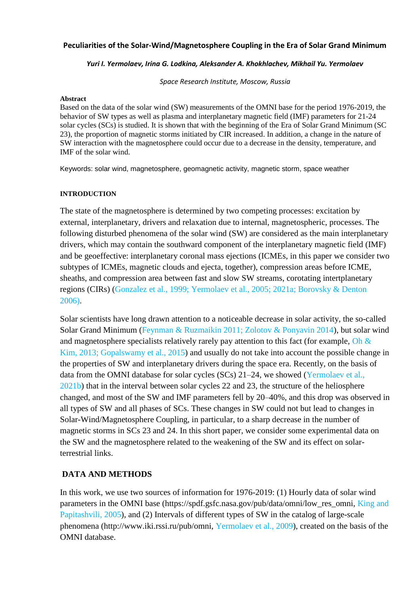#### **Peculiarities of the Solar-Wind/Magnetosphere Coupling in the Era of Solar Grand Minimum**

#### *Yuri I. Yermolaev, Irina G. Lodkina, Aleksander A. Khokhlachev, Mikhail Yu. Yermolaev*

*Space Research Institute, Moscow, Russia*

#### **Abstract**

Based on the data of the solar wind (SW) measurements of the OMNI base for the period 1976-2019, the behavior of SW types as well as plasma and interplanetary magnetic field (IMF) parameters for 21-24 solar cycles (SCs) is studied. It is shown that with the beginning of the Era of Solar Grand Minimum (SC 23), the proportion of magnetic storms initiated by CIR increased. In addition, a change in the nature of SW interaction with the magnetosphere could occur due to a decrease in the density, temperature, and IMF of the solar wind.

Keywords: solar wind, magnetosphere, geomagnetic activity, magnetic storm, space weather

#### **INTRODUCTION**

The state of the magnetosphere is determined by two competing processes: excitation by external, interplanetary, drivers and relaxation due to internal, magnetospheric, processes. The following disturbed phenomena of the solar wind (SW) are considered as the main interplanetary drivers, which may contain the southward component of the interplanetary magnetic field (IMF) and be geoeffective: interplanetary coronal mass ejections (ICMEs, in this paper we consider two subtypes of ICMEs, magnetic clouds and ejecta, together), compression areas before ICME, sheaths, and compression area between fast and slow SW streams, corotating intertplanetary regions (CIRs) (Gonzalez et al., 1999; Yermolaev et al., 2005; 2021а; Borovsky & Denton 2006).

Solar scientists have long drawn attention to a noticeable decrease in solar activity, the so-called Solar Grand Minimum (Feynman & Ruzmaikin 2011; Zolotov & Ponyavin 2014), but solar wind and magnetosphere specialists relatively rarely pay attention to this fact (for example, Oh  $\&$ Kim, 2013; Gopalswamy et al., 2015) and usually do not take into account the possible change in the properties of SW and interplanetary drivers during the space era. Recently, on the basis of data from the OMNI database for solar cycles (SCs) 21–24, we showed (Yermolaev et al., 2021b) that in the interval between solar cycles 22 and 23, the structure of the heliosphere changed, and most of the SW and IMF parameters fell by 20–40%, and this drop was observed in all types of SW and all phases of SCs. These changes in SW could not but lead to changes in Solar-Wind/Magnetosphere Coupling, in particular, to a sharp decrease in the number of magnetic storms in SCs 23 and 24. In this short paper, we consider some experimental data on the SW and the magnetosphere related to the weakening of the SW and its effect on solarterrestrial links.

# **DATA AND METHODS**

In this work, we use two sources of information for 1976-2019: (1) Hourly data of solar wind parameters in the OMNI base (https://spdf.gsfc.nasa.gov/pub/data/omni/low\_res\_omni, King and Papitashvili, 2005), and (2) Intervals of different types of SW in the catalog of large-scale phenomena (http://www.iki.rssi.ru/pub/omni, Yermolaev et al., 2009), created on the basis of the OMNI database.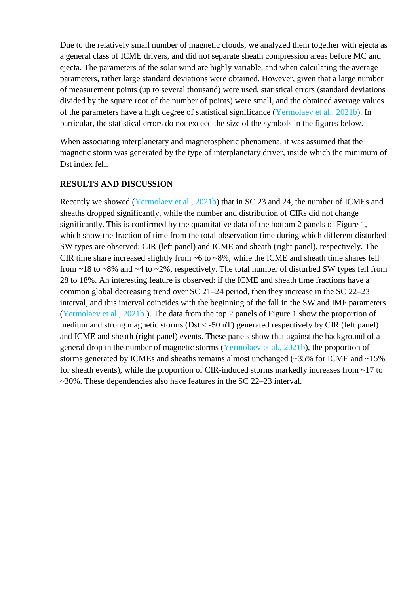Due to the relatively small number of magnetic clouds, we analyzed them together with ejecta as a general class of ICME drivers, and did not separate sheath compression areas before MC and ejecta. The parameters of the solar wind are highly variable, and when calculating the average parameters, rather large standard deviations were obtained. However, given that a large number of measurement points (up to several thousand) were used, statistical errors (standard deviations divided by the square root of the number of points) were small, and the obtained average values of the parameters have a high degree of statistical significance (Yermolaev et al., 2021b). In particular, the statistical errors do not exceed the size of the symbols in the figures below.

When associating interplanetary and magnetospheric phenomena, it was assumed that the magnetic storm was generated by the type of interplanetary driver, inside which the minimum of Dst index fell.

# **RESULTS AND DISCUSSION**

Recently we showed (Yermolaev et al., 2021b) that in SC 23 and 24, the number of ICMEs and sheaths dropped significantly, while the number and distribution of CIRs did not change significantly. This is confirmed by the quantitative data of the bottom 2 panels of Figure 1, which show the fraction of time from the total observation time during which different disturbed SW types are observed: CIR (left panel) and ICME and sheath (right panel), respectively. The CIR time share increased slightly from ~6 to ~8%, while the ICME and sheath time shares fell from  $\sim$ 18 to  $\sim$ 8% and  $\sim$ 4 to  $\sim$ 2%, respectively. The total number of disturbed SW types fell from 28 to 18%. An interesting feature is observed: if the ICME and sheath time fractions have a common global decreasing trend over SC 21–24 period, then they increase in the SC 22–23 interval, and this interval coincides with the beginning of the fall in the SW and IMF parameters (Yermolaev et al., 2021b ). The data from the top 2 panels of Figure 1 show the proportion of medium and strong magnetic storms ( $Dst < -50$  nT) generated respectively by CIR (left panel) and ICME and sheath (right panel) events. These panels show that against the background of a general drop in the number of magnetic storms (Yermolaev et al., 2021b), the proportion of storms generated by ICMEs and sheaths remains almost unchanged (~35% for ICME and ~15% for sheath events), while the proportion of CIR-induced storms markedly increases from ~17 to ~30%. These dependencies also have features in the SC 22–23 interval.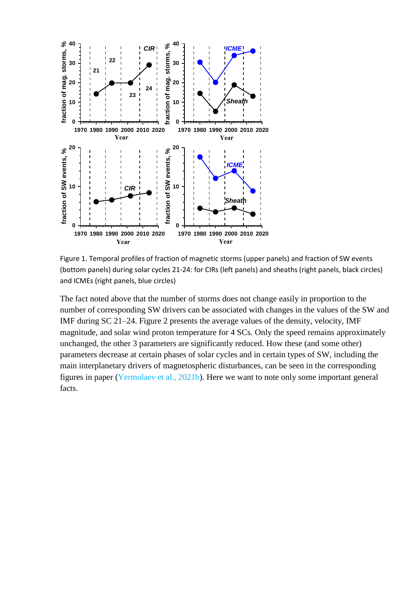

Figure 1. Temporal profiles of fraction of magnetic storms (upper panels) and fraction of SW events (bottom panels) during solar cycles 21-24: for CIRs (left panels) and sheaths (right panels, black circles) and ICMEs (right panels, blue circles)

The fact noted above that the number of storms does not change easily in proportion to the number of corresponding SW drivers can be associated with changes in the values of the SW and IMF during SC 21–24. Figure 2 presents the average values of the density, velocity, IMF magnitude, and solar wind proton temperature for 4 SCs. Only the speed remains approximately unchanged, the other 3 parameters are significantly reduced. How these (and some other) parameters decrease at certain phases of solar cycles and in certain types of SW, including the main interplanetary drivers of magnetospheric disturbances, can be seen in the corresponding figures in paper (Yermolaev et al., 2021b). Here we want to note only some important general facts.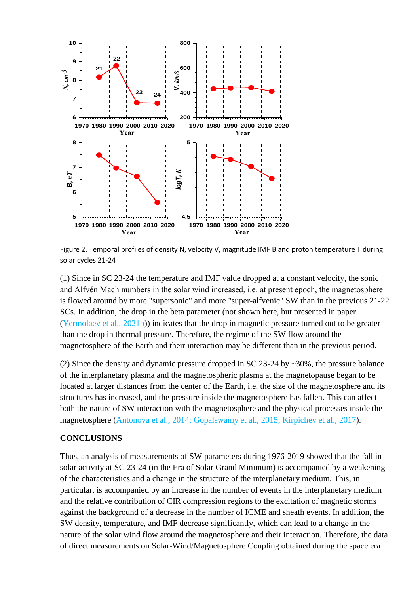

Figure 2. Temporal profiles of density N, velocity V, magnitude IMF B and proton temperature T during solar cycles 21-24

(1) Since in SC 23-24 the temperature and IMF value dropped at a constant velocity, the sonic and Alfvén Mach numbers in the solar wind increased, i.e. at present epoch, the magnetosphere is flowed around by more "supersonic" and more "super-alfvenic" SW than in the previous 21-22 SCs. In addition, the drop in the beta parameter (not shown here, but presented in paper (Yermolaev et al., 2021b)) indicates that the drop in magnetic pressure turned out to be greater than the drop in thermal pressure. Therefore, the regime of the SW flow around the magnetosphere of the Earth and their interaction may be different than in the previous period.

(2) Since the density and dynamic pressure dropped in SC 23-24 by ~30%, the pressure balance of the interplanetary plasma and the magnetospheric plasma at the magnetopause began to be located at larger distances from the center of the Earth, i.e. the size of the magnetosphere and its structures has increased, and the pressure inside the magnetosphere has fallen. This can affect both the nature of SW interaction with the magnetosphere and the physical processes inside the magnetosphere (Antonova et al., 2014; Gopalswamy et al., 2015; Kirpichev et al., 2017).

### **CONCLUSIONS**

Thus, an analysis of measurements of SW parameters during 1976-2019 showed that the fall in solar activity at SC 23-24 (in the Era of Solar Grand Minimum) is accompanied by a weakening of the characteristics and a change in the structure of the interplanetary medium. This, in particular, is accompanied by an increase in the number of events in the interplanetary medium and the relative contribution of CIR compression regions to the excitation of magnetic storms against the background of a decrease in the number of ICME and sheath events. In addition, the SW density, temperature, and IMF decrease significantly, which can lead to a change in the nature of the solar wind flow around the magnetosphere and their interaction. Therefore, the data of direct measurements on Solar-Wind/Magnetosphere Coupling obtained during the space era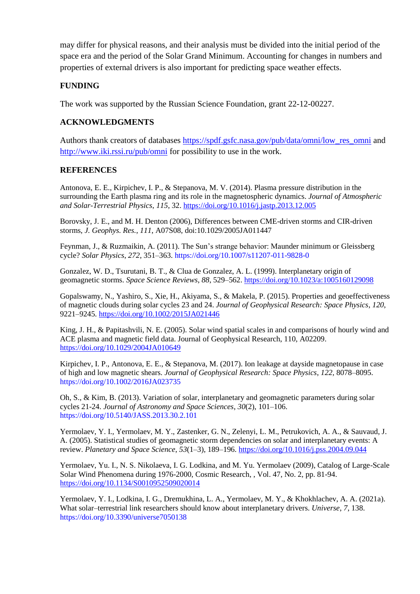may differ for physical reasons, and their analysis must be divided into the initial period of the space era and the period of the Solar Grand Minimum. Accounting for changes in numbers and properties of external drivers is also important for predicting space weather effects.

# **FUNDING**

The work was supported by the Russian Science Foundation, grant 22-12-00227.

#### **ACKNOWLEDGMENTS**

Authors thank creators of databases [https://spdf.gsfc.nasa.gov/pub/data/omni/low\\_res\\_omni](https://spdf.gsfc.nasa.gov/pub/data/omni/low_res_omni) and <http://www.iki.rssi.ru/pub/omni> for possibility to use in the work.

# **REFERENCES**

Antonova, E. E., Kirpichev, I. P., & Stepanova, M. V. (2014). Plasma pressure distribution in the surrounding the Earth plasma ring and its role in the magnetospheric dynamics. *Journal of Atmospheric and Solar-Terrestrial Physics*, *115*, 32.<https://doi.org/10.1016/j.jastp.2013.12.005>

Borovsky, J. E., and M. H. Denton (2006), Differences between CME-driven storms and CIR-driven storms, *J. Geophys. Res.*, *111*, A07S08, doi:10.1029/2005JA011447

Feynman, J., & Ruzmaikin, A. (2011). The Sun's strange behavior: Maunder minimum or Gleissberg cycle? *Solar Physics*, *272*, 351–363. https://doi.org/10.1007/s11207-011-9828-0

Gonzalez, W. D., Tsurutani, B. T., & Clua de Gonzalez, A. L. (1999). Interplanetary origin of geomagnetic storms. *Space Science Reviews*, *88*, 529–562.<https://doi.org/10.1023/a:1005160129098>

Gopalswamy, N., Yashiro, S., Xie, H., Akiyama, S., & Makela, P. (2015). Properties and geoeffectiveness of magnetic clouds during solar cycles 23 and 24. *Journal of Geophysical Research: Space Physics*, *120*, 9221–9245.<https://doi.org/10.1002/2015JA021446>

King, J. H., & Papitashvili, N. E. (2005). Solar wind spatial scales in and comparisons of hourly wind and ACE plasma and magnetic field data. Journal of Geophysical Research, 110, A02209. <https://doi.org/10.1029/2004JA010649>

Kirpichev, I. P., Antonova, E. E., & Stepanova, M. (2017). Ion leakage at dayside magnetopause in case of high and low magnetic shears. *Journal of Geophysical Research: Space Physics*, *122*, 8078–8095. https://doi.org/10.1002/2016JA023735

Oh, S., & Kim, B. (2013). Variation of solar, interplanetary and geomagnetic parameters during solar cycles 21-24. *Journal of Astronomy and Space Sciences*, *30*(2), 101–106. https://doi.org/10.5140/JASS.2013.30.2.101

Yermolaev, Y. I., Yermolaev, M. Y., Zastenker, G. N., Zelenyi, L. M., Petrukovich, A. A., & Sauvaud, J. A. (2005). Statistical studies of geomagnetic storm dependencies on solar and interplanetary events: A review. *Planetary and Space Science*, *53*(1–3), 189–196.<https://doi.org/10.1016/j.pss.2004.09.044>

Yermolaev, Yu. I., N. S. Nikolaeva, I. G. Lodkina, and M. Yu. Yermolaev (2009), Catalog of Large-Scale Solar Wind Phenomena during 1976-2000, Cosmic Research, , Vol. 47, No. 2, pp. 81-94. <https://doi.org/10.1134/S0010952509020014>

Yermolaev, Y. I., Lodkina, I. G., Dremukhina, L. A., Yermolaev, M. Y., & Khokhlachev, A. A. (2021a). What solar–terrestrial link researchers should know about interplanetary drivers. *Universe*, *7*, 138. https://doi.org/10.3390/universe7050138